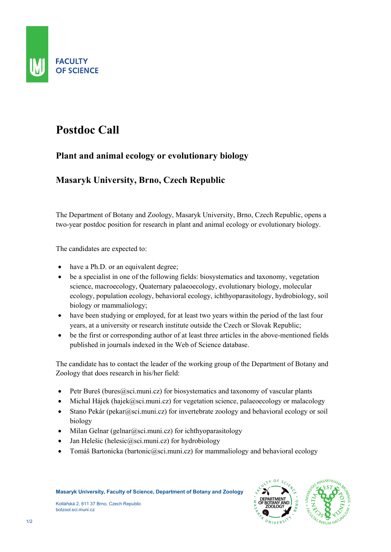

## Postdoc Call

## Plant and animal ecology or evolutionary biology

## Masaryk University, Brno, Czech Republic

The Department of Botany and Zoology, Masaryk University, Brno, Czech Republic, opens a two-year postdoc position for research in plant and animal ecology or evolutionary biology.

The candidates are expected to:

- have a Ph.D. or an equivalent degree;
- be a specialist in one of the following fields: biosystematics and taxonomy, vegetation science, macroecology, Quaternary palaeoecology, evolutionary biology, molecular ecology, population ecology, behavioral ecology, ichthyoparasitology, hydrobiology, soil biology or mammaliology;
- have been studying or employed, for at least two years within the period of the last four years, at a university or research institute outside the Czech or Slovak Republic;
- be the first or corresponding author of at least three articles in the above-mentioned fields published in journals indexed in the Web of Science database.

The candidate has to contact the leader of the working group of the Department of Botany and Zoology that does research in his/her field:

- $\bullet$  Petr Bureš (bures  $Q$ sci.muni.cz) for biosystematics and taxonomy of vascular plants
- $\bullet$  Michal Hájek (hajek@sci.muni.cz) for vegetation science, palaeoecology or malacology
- Stano Pekár (pekar@sci.muni.cz) for invertebrate zoology and behavioral ecology or soil biology
- $\bullet$  Milan Gelnar (gelnar@sci.muni.cz) for ichthyoparasitology
- Jan Helešic (helesic@sci.muni.cz) for hydrobiology
- Tomáš Bartonicka (bartonic  $\omega$ sci.muni.cz) for mammaliology and behavioral ecology

Kotlářská 2, 611 37 Brno, Czech Republic botzool.sci.muni.cz